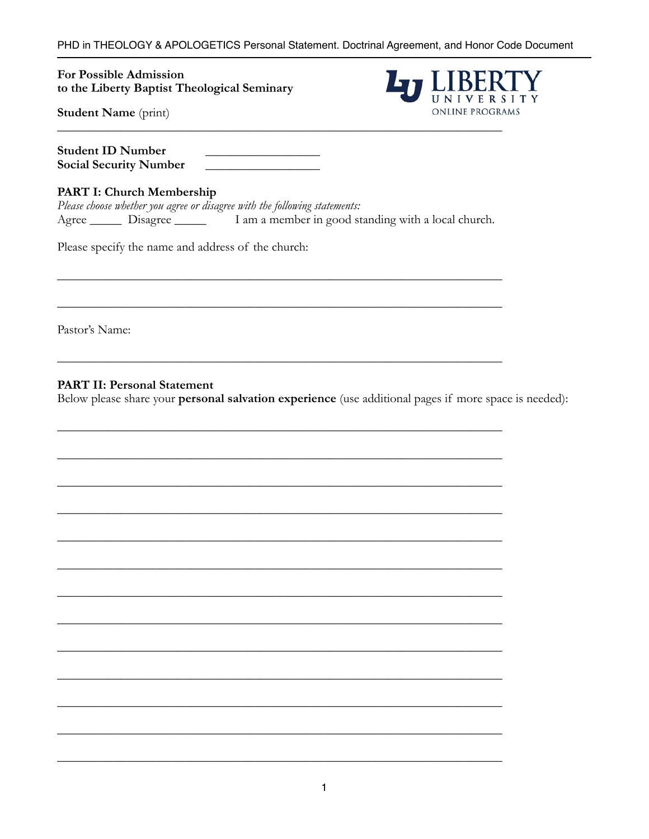PHD in THEOLOGY & APOLOGETICS Personal Statement. Doctrinal Agreement, and Honor Code Document

For Possible Admission to the Liberty Baptist Theological Seminary



**Student Name** (print)

| <b>Student ID Number</b>      |  |
|-------------------------------|--|
| <b>Social Security Number</b> |  |

### PART I: Church Membership

|            |          | Please choose whether you agree or disagree with the following statements: |                                                     |  |  |  |
|------------|----------|----------------------------------------------------------------------------|-----------------------------------------------------|--|--|--|
| $Agree$ __ | Disagree |                                                                            | I am a member in good standing with a local church. |  |  |  |

Please specify the name and address of the church:

Pastor's Name:

**PART II: Personal Statement** 

Below please share your personal salvation experience (use additional pages if more space is needed):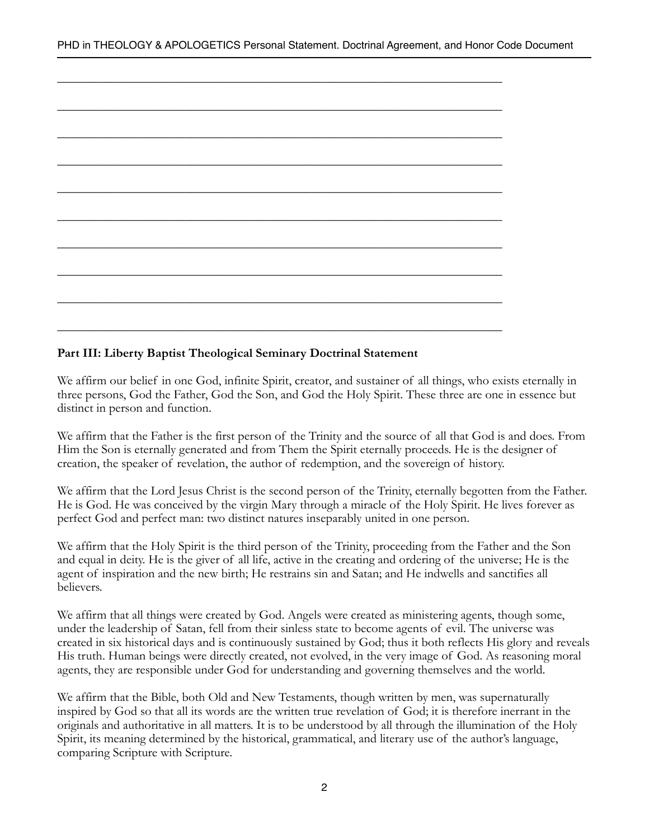## **Part III: Liberty Baptist Theological Seminary Doctrinal Statement**

We affirm our belief in one God, infinite Spirit, creator, and sustainer of all things, who exists eternally in three persons, God the Father, God the Son, and God the Holy Spirit. These three are one in essence but distinct in person and function.

We affirm that the Father is the first person of the Trinity and the source of all that God is and does. From Him the Son is eternally generated and from Them the Spirit eternally proceeds. He is the designer of creation, the speaker of revelation, the author of redemption, and the sovereign of history.

We affirm that the Lord Jesus Christ is the second person of the Trinity, eternally begotten from the Father. He is God. He was conceived by the virgin Mary through a miracle of the Holy Spirit. He lives forever as perfect God and perfect man: two distinct natures inseparably united in one person.

We affirm that the Holy Spirit is the third person of the Trinity, proceeding from the Father and the Son and equal in deity. He is the giver of all life, active in the creating and ordering of the universe; He is the agent of inspiration and the new birth; He restrains sin and Satan; and He indwells and sanctifies all believers.

We affirm that all things were created by God. Angels were created as ministering agents, though some, under the leadership of Satan, fell from their sinless state to become agents of evil. The universe was created in six historical days and is continuously sustained by God; thus it both reflects His glory and reveals His truth. Human beings were directly created, not evolved, in the very image of God. As reasoning moral agents, they are responsible under God for understanding and governing themselves and the world.

We affirm that the Bible, both Old and New Testaments, though written by men, was supernaturally inspired by God so that all its words are the written true revelation of God; it is therefore inerrant in the originals and authoritative in all matters. It is to be understood by all through the illumination of the Holy Spirit, its meaning determined by the historical, grammatical, and literary use of the author's language, comparing Scripture with Scripture.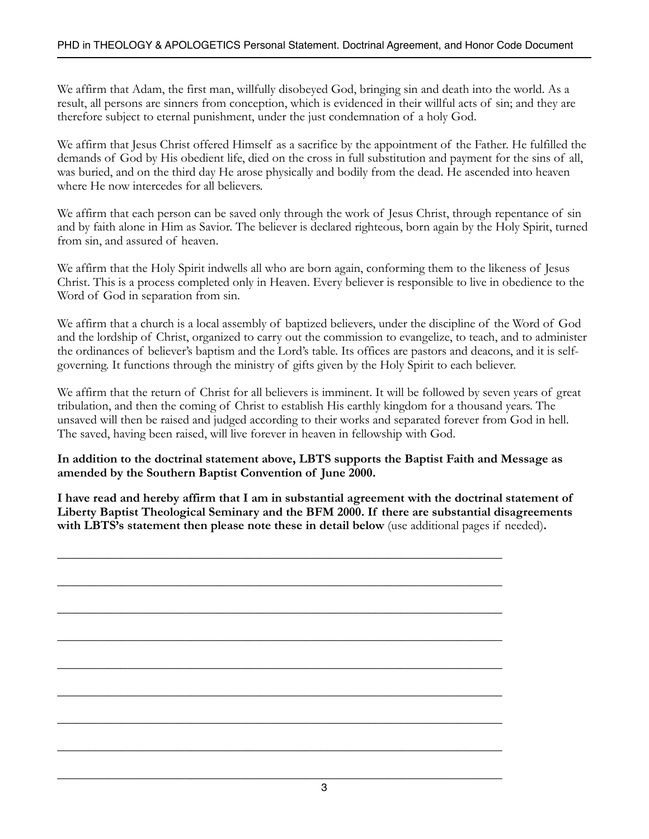We affirm that Adam, the first man, willfully disobeyed God, bringing sin and death into the world. As a result, all persons are sinners from conception, which is evidenced in their willful acts of sin; and they are therefore subject to eternal punishment, under the just condemnation of a holy God.

We affirm that Jesus Christ offered Himself as a sacrifice by the appointment of the Father. He fulfilled the demands of God by His obedient life, died on the cross in full substitution and payment for the sins of all, was buried, and on the third day He arose physically and bodily from the dead. He ascended into heaven where He now intercedes for all believers.

We affirm that each person can be saved only through the work of Jesus Christ, through repentance of sin and by faith alone in Him as Savior. The believer is declared righteous, born again by the Holy Spirit, turned from sin, and assured of heaven.

We affirm that the Holy Spirit indwells all who are born again, conforming them to the likeness of Jesus Christ. This is a process completed only in Heaven. Every believer is responsible to live in obedience to the Word of God in separation from sin.

We affirm that a church is a local assembly of baptized believers, under the discipline of the Word of God and the lordship of Christ, organized to carry out the commission to evangelize, to teach, and to administer the ordinances of believer's baptism and the Lord's table. Its offices are pastors and deacons, and it is selfgoverning. It functions through the ministry of gifts given by the Holy Spirit to each believer.

We affirm that the return of Christ for all believers is imminent. It will be followed by seven years of great tribulation, and then the coming of Christ to establish His earthly kingdom for a thousand years. The unsaved will then be raised and judged according to their works and separated forever from God in hell. The saved, having been raised, will live forever in heaven in fellowship with God.

**In addition to the doctrinal statement above, LBTS supports the Baptist Faith and Message as amended by the Southern Baptist Convention of June 2000.**

**I have read and hereby affirm that I am in substantial agreement with the doctrinal statement of Liberty Baptist Theological Seminary and the BFM 2000. If there are substantial disagreements with LBTS's statement then please note these in detail below** (use additional pages if needed)**.**

\_\_\_\_\_\_\_\_\_\_\_\_\_\_\_\_\_\_\_\_\_\_\_\_\_\_\_\_\_\_\_\_\_\_\_\_\_\_\_\_\_\_\_\_\_\_\_\_\_\_\_\_\_\_\_\_\_\_\_\_\_\_\_\_\_\_\_\_\_\_

\_\_\_\_\_\_\_\_\_\_\_\_\_\_\_\_\_\_\_\_\_\_\_\_\_\_\_\_\_\_\_\_\_\_\_\_\_\_\_\_\_\_\_\_\_\_\_\_\_\_\_\_\_\_\_\_\_\_\_\_\_\_\_\_\_\_\_\_\_\_

\_\_\_\_\_\_\_\_\_\_\_\_\_\_\_\_\_\_\_\_\_\_\_\_\_\_\_\_\_\_\_\_\_\_\_\_\_\_\_\_\_\_\_\_\_\_\_\_\_\_\_\_\_\_\_\_\_\_\_\_\_\_\_\_\_\_\_\_\_\_

\_\_\_\_\_\_\_\_\_\_\_\_\_\_\_\_\_\_\_\_\_\_\_\_\_\_\_\_\_\_\_\_\_\_\_\_\_\_\_\_\_\_\_\_\_\_\_\_\_\_\_\_\_\_\_\_\_\_\_\_\_\_\_\_\_\_\_\_\_\_

\_\_\_\_\_\_\_\_\_\_\_\_\_\_\_\_\_\_\_\_\_\_\_\_\_\_\_\_\_\_\_\_\_\_\_\_\_\_\_\_\_\_\_\_\_\_\_\_\_\_\_\_\_\_\_\_\_\_\_\_\_\_\_\_\_\_\_\_\_\_

\_\_\_\_\_\_\_\_\_\_\_\_\_\_\_\_\_\_\_\_\_\_\_\_\_\_\_\_\_\_\_\_\_\_\_\_\_\_\_\_\_\_\_\_\_\_\_\_\_\_\_\_\_\_\_\_\_\_\_\_\_\_\_\_\_\_\_\_\_\_

\_\_\_\_\_\_\_\_\_\_\_\_\_\_\_\_\_\_\_\_\_\_\_\_\_\_\_\_\_\_\_\_\_\_\_\_\_\_\_\_\_\_\_\_\_\_\_\_\_\_\_\_\_\_\_\_\_\_\_\_\_\_\_\_\_\_\_\_\_\_

\_\_\_\_\_\_\_\_\_\_\_\_\_\_\_\_\_\_\_\_\_\_\_\_\_\_\_\_\_\_\_\_\_\_\_\_\_\_\_\_\_\_\_\_\_\_\_\_\_\_\_\_\_\_\_\_\_\_\_\_\_\_\_\_\_\_\_\_\_\_

\_\_\_\_\_\_\_\_\_\_\_\_\_\_\_\_\_\_\_\_\_\_\_\_\_\_\_\_\_\_\_\_\_\_\_\_\_\_\_\_\_\_\_\_\_\_\_\_\_\_\_\_\_\_\_\_\_\_\_\_\_\_\_\_\_\_\_\_\_\_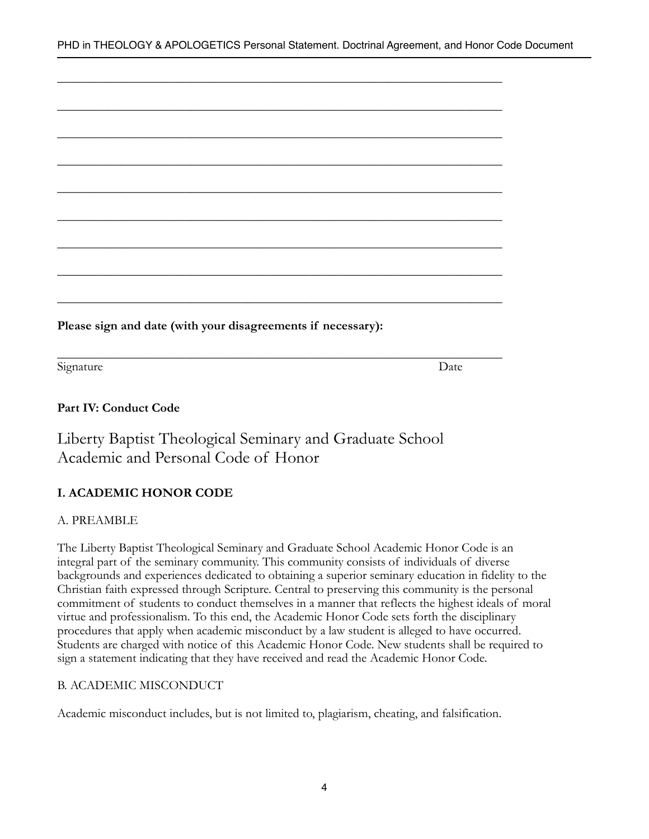| Please sign and date (with your disagreements if necessary): |  |  |
|--------------------------------------------------------------|--|--|

\_\_\_\_\_\_\_\_\_\_\_\_\_\_\_\_\_\_\_\_\_\_\_\_\_\_\_\_\_\_\_\_\_\_\_\_\_\_\_\_\_\_\_\_\_\_\_\_\_\_\_\_\_\_\_\_\_\_\_\_\_\_\_\_\_\_\_\_\_\_

Signature Date Date by Date Date Date Date Date

# **Part IV: Conduct Code**

Liberty Baptist Theological Seminary and Graduate School Academic and Personal Code of Honor

# **I. ACADEMIC HONOR CODE**

## A. PREAMBLE

The Liberty Baptist Theological Seminary and Graduate School Academic Honor Code is an integral part of the seminary community. This community consists of individuals of diverse backgrounds and experiences dedicated to obtaining a superior seminary education in fidelity to the Christian faith expressed through Scripture. Central to preserving this community is the personal commitment of students to conduct themselves in a manner that reflects the highest ideals of moral virtue and professionalism. To this end, the Academic Honor Code sets forth the disciplinary procedures that apply when academic misconduct by a law student is alleged to have occurred. Students are charged with notice of this Academic Honor Code. New students shall be required to sign a statement indicating that they have received and read the Academic Honor Code.

## B. ACADEMIC MISCONDUCT

Academic misconduct includes, but is not limited to, plagiarism, cheating, and falsification.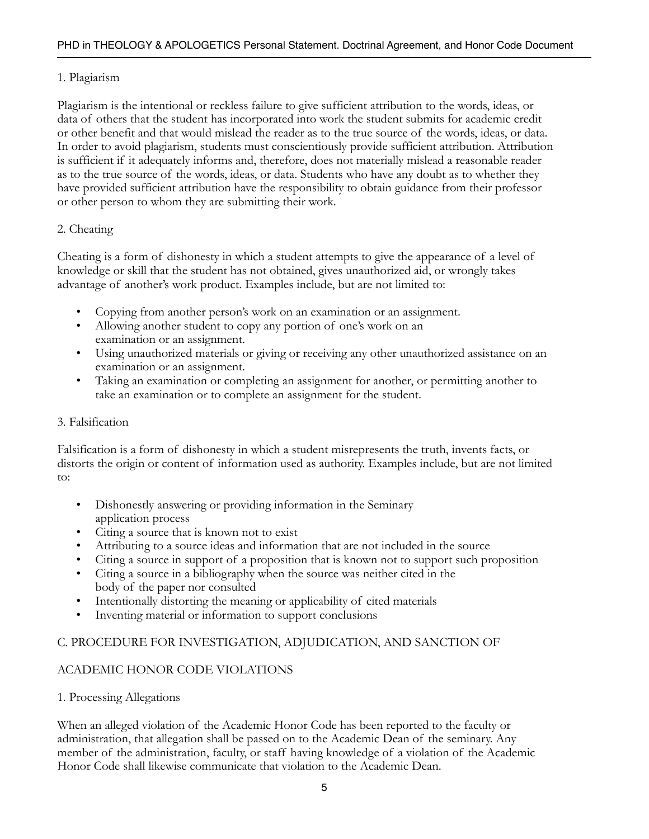## 1. Plagiarism

Plagiarism is the intentional or reckless failure to give sufficient attribution to the words, ideas, or data of others that the student has incorporated into work the student submits for academic credit or other benefit and that would mislead the reader as to the true source of the words, ideas, or data. In order to avoid plagiarism, students must conscientiously provide sufficient attribution. Attribution is sufficient if it adequately informs and, therefore, does not materially mislead a reasonable reader as to the true source of the words, ideas, or data. Students who have any doubt as to whether they have provided sufficient attribution have the responsibility to obtain guidance from their professor or other person to whom they are submitting their work.

## 2. Cheating

Cheating is a form of dishonesty in which a student attempts to give the appearance of a level of knowledge or skill that the student has not obtained, gives unauthorized aid, or wrongly takes advantage of another's work product. Examples include, but are not limited to:

- Copying from another person's work on an examination or an assignment.
- Allowing another student to copy any portion of one's work on an examination or an assignment.
- Using unauthorized materials or giving or receiving any other unauthorized assistance on an examination or an assignment.
- Taking an examination or completing an assignment for another, or permitting another to take an examination or to complete an assignment for the student.

## 3. Falsification

Falsification is a form of dishonesty in which a student misrepresents the truth, invents facts, or distorts the origin or content of information used as authority. Examples include, but are not limited to:

- Dishonestly answering or providing information in the Seminary application process
- Citing a source that is known not to exist
- Attributing to a source ideas and information that are not included in the source
- Citing a source in support of a proposition that is known not to support such proposition
- Citing a source in a bibliography when the source was neither cited in the body of the paper nor consulted
- Intentionally distorting the meaning or applicability of cited materials
- Inventing material or information to support conclusions

# C. PROCEDURE FOR INVESTIGATION, ADJUDICATION, AND SANCTION OF

# ACADEMIC HONOR CODE VIOLATIONS

1. Processing Allegations

When an alleged violation of the Academic Honor Code has been reported to the faculty or administration, that allegation shall be passed on to the Academic Dean of the seminary. Any member of the administration, faculty, or staff having knowledge of a violation of the Academic Honor Code shall likewise communicate that violation to the Academic Dean.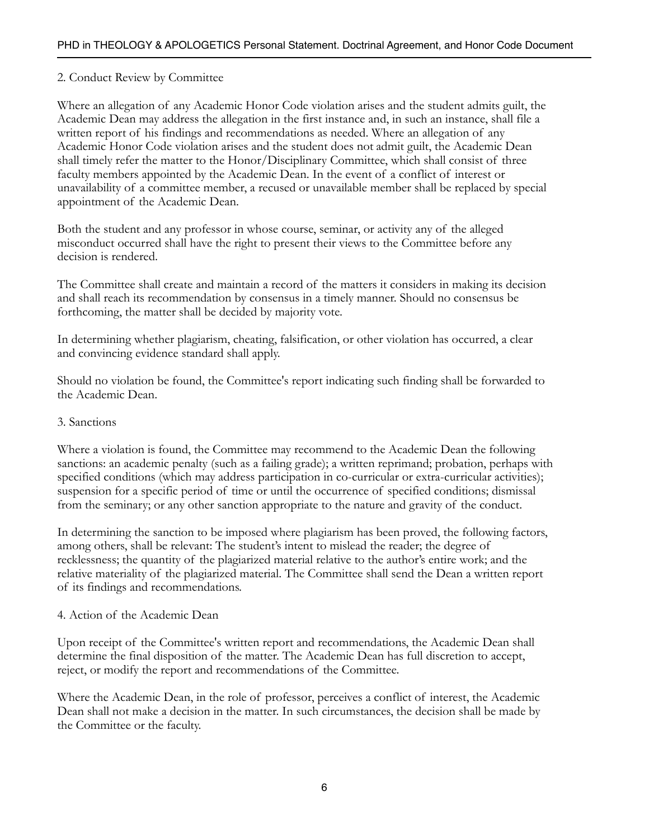## 2. Conduct Review by Committee

Where an allegation of any Academic Honor Code violation arises and the student admits guilt, the Academic Dean may address the allegation in the first instance and, in such an instance, shall file a written report of his findings and recommendations as needed. Where an allegation of any Academic Honor Code violation arises and the student does not admit guilt, the Academic Dean shall timely refer the matter to the Honor/Disciplinary Committee, which shall consist of three faculty members appointed by the Academic Dean. In the event of a conflict of interest or unavailability of a committee member, a recused or unavailable member shall be replaced by special appointment of the Academic Dean.

Both the student and any professor in whose course, seminar, or activity any of the alleged misconduct occurred shall have the right to present their views to the Committee before any decision is rendered.

The Committee shall create and maintain a record of the matters it considers in making its decision and shall reach its recommendation by consensus in a timely manner. Should no consensus be forthcoming, the matter shall be decided by majority vote.

In determining whether plagiarism, cheating, falsification, or other violation has occurred, a clear and convincing evidence standard shall apply.

Should no violation be found, the Committee's report indicating such finding shall be forwarded to the Academic Dean.

#### 3. Sanctions

Where a violation is found, the Committee may recommend to the Academic Dean the following sanctions: an academic penalty (such as a failing grade); a written reprimand; probation, perhaps with specified conditions (which may address participation in co-curricular or extra-curricular activities); suspension for a specific period of time or until the occurrence of specified conditions; dismissal from the seminary; or any other sanction appropriate to the nature and gravity of the conduct.

In determining the sanction to be imposed where plagiarism has been proved, the following factors, among others, shall be relevant: The student's intent to mislead the reader; the degree of recklessness; the quantity of the plagiarized material relative to the author's entire work; and the relative materiality of the plagiarized material. The Committee shall send the Dean a written report of its findings and recommendations.

#### 4. Action of the Academic Dean

Upon receipt of the Committee's written report and recommendations, the Academic Dean shall determine the final disposition of the matter. The Academic Dean has full discretion to accept, reject, or modify the report and recommendations of the Committee.

Where the Academic Dean, in the role of professor, perceives a conflict of interest, the Academic Dean shall not make a decision in the matter. In such circumstances, the decision shall be made by the Committee or the faculty.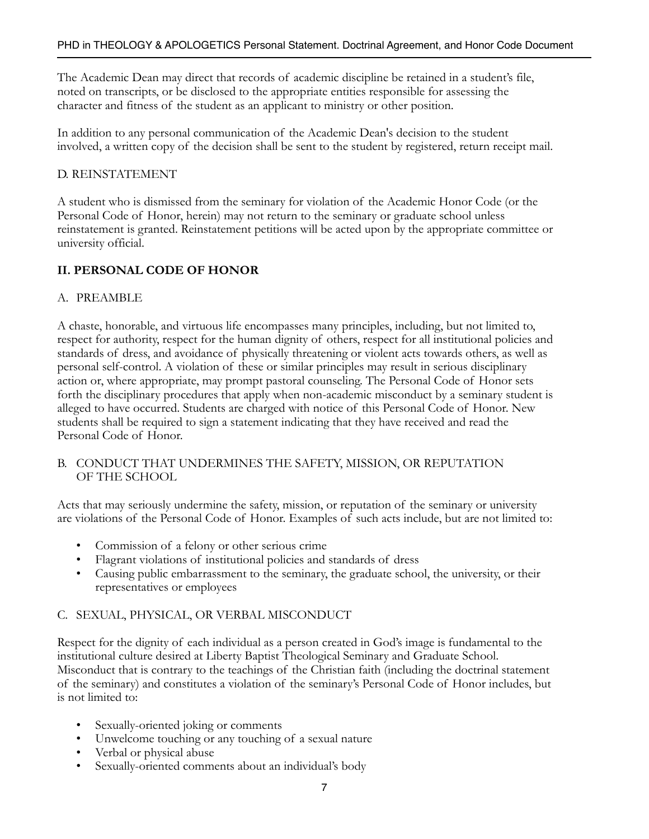The Academic Dean may direct that records of academic discipline be retained in a student's file, noted on transcripts, or be disclosed to the appropriate entities responsible for assessing the character and fitness of the student as an applicant to ministry or other position.

In addition to any personal communication of the Academic Dean's decision to the student involved, a written copy of the decision shall be sent to the student by registered, return receipt mail.

## D. REINSTATEMENT

A student who is dismissed from the seminary for violation of the Academic Honor Code (or the Personal Code of Honor, herein) may not return to the seminary or graduate school unless reinstatement is granted. Reinstatement petitions will be acted upon by the appropriate committee or university official.

# **II. PERSONAL CODE OF HONOR**

## A. PREAMBLE

A chaste, honorable, and virtuous life encompasses many principles, including, but not limited to, respect for authority, respect for the human dignity of others, respect for all institutional policies and standards of dress, and avoidance of physically threatening or violent acts towards others, as well as personal self-control. A violation of these or similar principles may result in serious disciplinary action or, where appropriate, may prompt pastoral counseling. The Personal Code of Honor sets forth the disciplinary procedures that apply when non-academic misconduct by a seminary student is alleged to have occurred. Students are charged with notice of this Personal Code of Honor. New students shall be required to sign a statement indicating that they have received and read the Personal Code of Honor.

B. CONDUCT THAT UNDERMINES THE SAFETY, MISSION, OR REPUTATION OF THE SCHOOL

Acts that may seriously undermine the safety, mission, or reputation of the seminary or university are violations of the Personal Code of Honor. Examples of such acts include, but are not limited to:

- Commission of a felony or other serious crime
- Flagrant violations of institutional policies and standards of dress
- Causing public embarrassment to the seminary, the graduate school, the university, or their representatives or employees

## C. SEXUAL, PHYSICAL, OR VERBAL MISCONDUCT

Respect for the dignity of each individual as a person created in God's image is fundamental to the institutional culture desired at Liberty Baptist Theological Seminary and Graduate School. Misconduct that is contrary to the teachings of the Christian faith (including the doctrinal statement of the seminary) and constitutes a violation of the seminary's Personal Code of Honor includes, but is not limited to:

- Sexually-oriented joking or comments
- Unwelcome touching or any touching of a sexual nature
- Verbal or physical abuse
- Sexually-oriented comments about an individual's body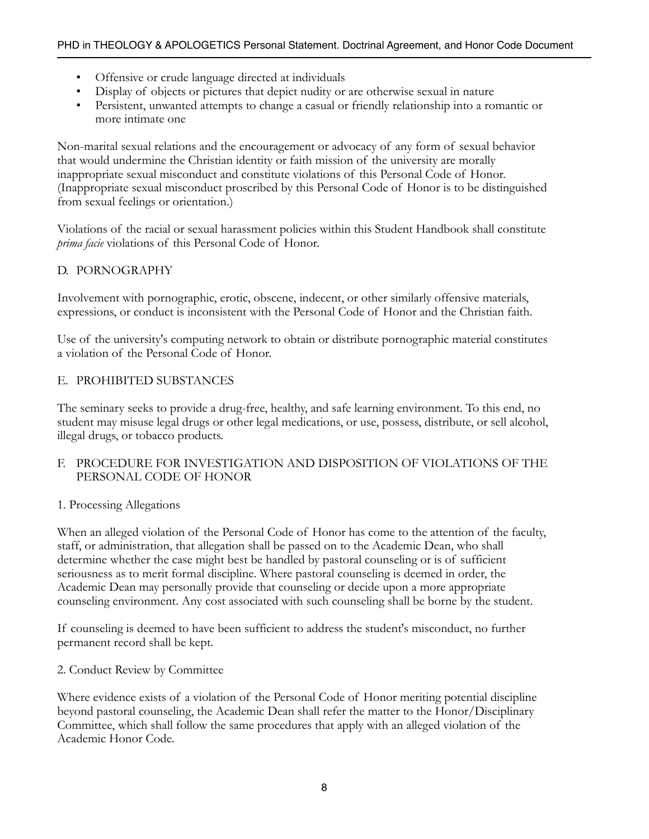- Offensive or crude language directed at individuals
- Display of objects or pictures that depict nudity or are otherwise sexual in nature
- Persistent, unwanted attempts to change a casual or friendly relationship into a romantic or more intimate one

Non-marital sexual relations and the encouragement or advocacy of any form of sexual behavior that would undermine the Christian identity or faith mission of the university are morally inappropriate sexual misconduct and constitute violations of this Personal Code of Honor. (Inappropriate sexual misconduct proscribed by this Personal Code of Honor is to be distinguished from sexual feelings or orientation.)

Violations of the racial or sexual harassment policies within this Student Handbook shall constitute *prima facie* violations of this Personal Code of Honor.

## D. PORNOGRAPHY

Involvement with pornographic, erotic, obscene, indecent, or other similarly offensive materials, expressions, or conduct is inconsistent with the Personal Code of Honor and the Christian faith.

Use of the university's computing network to obtain or distribute pornographic material constitutes a violation of the Personal Code of Honor.

## E. PROHIBITED SUBSTANCES

The seminary seeks to provide a drug-free, healthy, and safe learning environment. To this end, no student may misuse legal drugs or other legal medications, or use, possess, distribute, or sell alcohol, illegal drugs, or tobacco products.

F. PROCEDURE FOR INVESTIGATION AND DISPOSITION OF VIOLATIONS OF THE PERSONAL CODE OF HONOR

## 1. Processing Allegations

When an alleged violation of the Personal Code of Honor has come to the attention of the faculty, staff, or administration, that allegation shall be passed on to the Academic Dean, who shall determine whether the case might best be handled by pastoral counseling or is of sufficient seriousness as to merit formal discipline. Where pastoral counseling is deemed in order, the Academic Dean may personally provide that counseling or decide upon a more appropriate counseling environment. Any cost associated with such counseling shall be borne by the student.

If counseling is deemed to have been sufficient to address the student's misconduct, no further permanent record shall be kept.

2. Conduct Review by Committee

Where evidence exists of a violation of the Personal Code of Honor meriting potential discipline beyond pastoral counseling, the Academic Dean shall refer the matter to the Honor/Disciplinary Committee, which shall follow the same procedures that apply with an alleged violation of the Academic Honor Code.